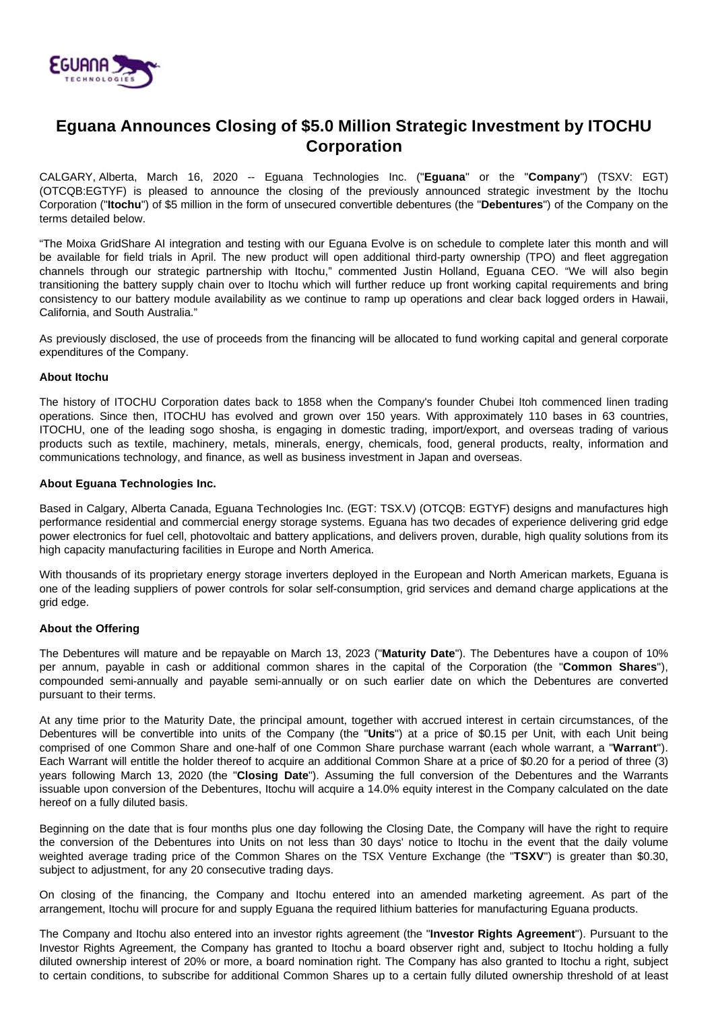

# **Eguana Announces Closing of \$5.0 Million Strategic Investment by ITOCHU Corporation**

CALGARY, Alberta, March 16, 2020 -- Eguana Technologies Inc. ("**Eguana**" or the "**Company**") (TSXV: EGT) (OTCQB:EGTYF) is pleased to announce the closing of the previously announced strategic investment by the Itochu Corporation ("**Itochu**") of \$5 million in the form of unsecured convertible debentures (the "**Debentures**") of the Company on the terms detailed below.

"The Moixa GridShare AI integration and testing with our Eguana Evolve is on schedule to complete later this month and will be available for field trials in April. The new product will open additional third-party ownership (TPO) and fleet aggregation channels through our strategic partnership with Itochu," commented Justin Holland, Eguana CEO. "We will also begin transitioning the battery supply chain over to Itochu which will further reduce up front working capital requirements and bring consistency to our battery module availability as we continue to ramp up operations and clear back logged orders in Hawaii, California, and South Australia."

As previously disclosed, the use of proceeds from the financing will be allocated to fund working capital and general corporate expenditures of the Company.

### **About Itochu**

The history of ITOCHU Corporation dates back to 1858 when the Company's founder Chubei Itoh commenced linen trading operations. Since then, ITOCHU has evolved and grown over 150 years. With approximately 110 bases in 63 countries, ITOCHU, one of the leading sogo shosha, is engaging in domestic trading, import/export, and overseas trading of various products such as textile, machinery, metals, minerals, energy, chemicals, food, general products, realty, information and communications technology, and finance, as well as business investment in Japan and overseas.

# **About Eguana Technologies Inc.**

Based in Calgary, Alberta Canada, Eguana Technologies Inc. (EGT: TSX.V) (OTCQB: EGTYF) designs and manufactures high performance residential and commercial energy storage systems. Eguana has two decades of experience delivering grid edge power electronics for fuel cell, photovoltaic and battery applications, and delivers proven, durable, high quality solutions from its high capacity manufacturing facilities in Europe and North America.

With thousands of its proprietary energy storage inverters deployed in the European and North American markets, Eguana is one of the leading suppliers of power controls for solar self-consumption, grid services and demand charge applications at the grid edge.

# **About the Offering**

The Debentures will mature and be repayable on March 13, 2023 ("**Maturity Date**"). The Debentures have a coupon of 10% per annum, payable in cash or additional common shares in the capital of the Corporation (the "**Common Shares**"), compounded semi-annually and payable semi-annually or on such earlier date on which the Debentures are converted pursuant to their terms.

At any time prior to the Maturity Date, the principal amount, together with accrued interest in certain circumstances, of the Debentures will be convertible into units of the Company (the "**Units**") at a price of \$0.15 per Unit, with each Unit being comprised of one Common Share and one-half of one Common Share purchase warrant (each whole warrant, a "**Warrant**"). Each Warrant will entitle the holder thereof to acquire an additional Common Share at a price of \$0.20 for a period of three (3) years following March 13, 2020 (the "**Closing Date**"). Assuming the full conversion of the Debentures and the Warrants issuable upon conversion of the Debentures, Itochu will acquire a 14.0% equity interest in the Company calculated on the date hereof on a fully diluted basis.

Beginning on the date that is four months plus one day following the Closing Date, the Company will have the right to require the conversion of the Debentures into Units on not less than 30 days' notice to Itochu in the event that the daily volume weighted average trading price of the Common Shares on the TSX Venture Exchange (the "**TSXV**") is greater than \$0.30, subject to adjustment, for any 20 consecutive trading days.

On closing of the financing, the Company and Itochu entered into an amended marketing agreement. As part of the arrangement, Itochu will procure for and supply Eguana the required lithium batteries for manufacturing Eguana products.

The Company and Itochu also entered into an investor rights agreement (the "**Investor Rights Agreement**"). Pursuant to the Investor Rights Agreement, the Company has granted to Itochu a board observer right and, subject to Itochu holding a fully diluted ownership interest of 20% or more, a board nomination right. The Company has also granted to Itochu a right, subject to certain conditions, to subscribe for additional Common Shares up to a certain fully diluted ownership threshold of at least